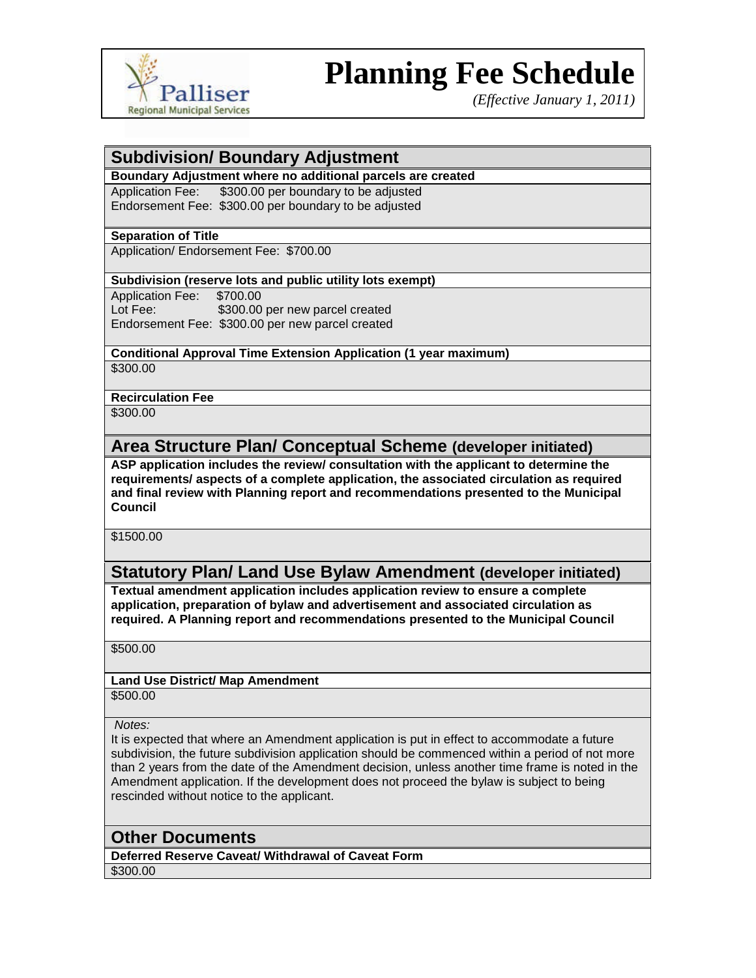

# **Planning Fee Schedule**

*(Effective January 1, 2011)*

## **Subdivision/ Boundary Adjustment**

### **Boundary Adjustment where no additional parcels are created**

Application Fee: \$300.00 per boundary to be adjusted Endorsement Fee: \$300.00 per boundary to be adjusted

#### **Separation of Title**

Application/ Endorsement Fee: \$700.00

### **Subdivision (reserve lots and public utility lots exempt)**

Application Fee: \$700.00 Lot Fee: \$300.00 per new parcel created Endorsement Fee: \$300.00 per new parcel created

## **Conditional Approval Time Extension Application (1 year maximum)**

\$300.00

#### **Recirculation Fee**

\$300.00

## **Area Structure Plan/ Conceptual Scheme (developer initiated)**

**ASP application includes the review/ consultation with the applicant to determine the requirements/ aspects of a complete application, the associated circulation as required and final review with Planning report and recommendations presented to the Municipal Council**

\$1500.00

## **Statutory Plan/ Land Use Bylaw Amendment (developer initiated)**

**Textual amendment application includes application review to ensure a complete application, preparation of bylaw and advertisement and associated circulation as required. A Planning report and recommendations presented to the Municipal Council**

\$500.00

# **Land Use District/ Map Amendment**

\$500.00

*Notes:*

It is expected that where an Amendment application is put in effect to accommodate a future subdivision, the future subdivision application should be commenced within a period of not more than 2 years from the date of the Amendment decision, unless another time frame is noted in the Amendment application. If the development does not proceed the bylaw is subject to being rescinded without notice to the applicant.

## **Other Documents**

**Deferred Reserve Caveat/ Withdrawal of Caveat Form** \$300.00